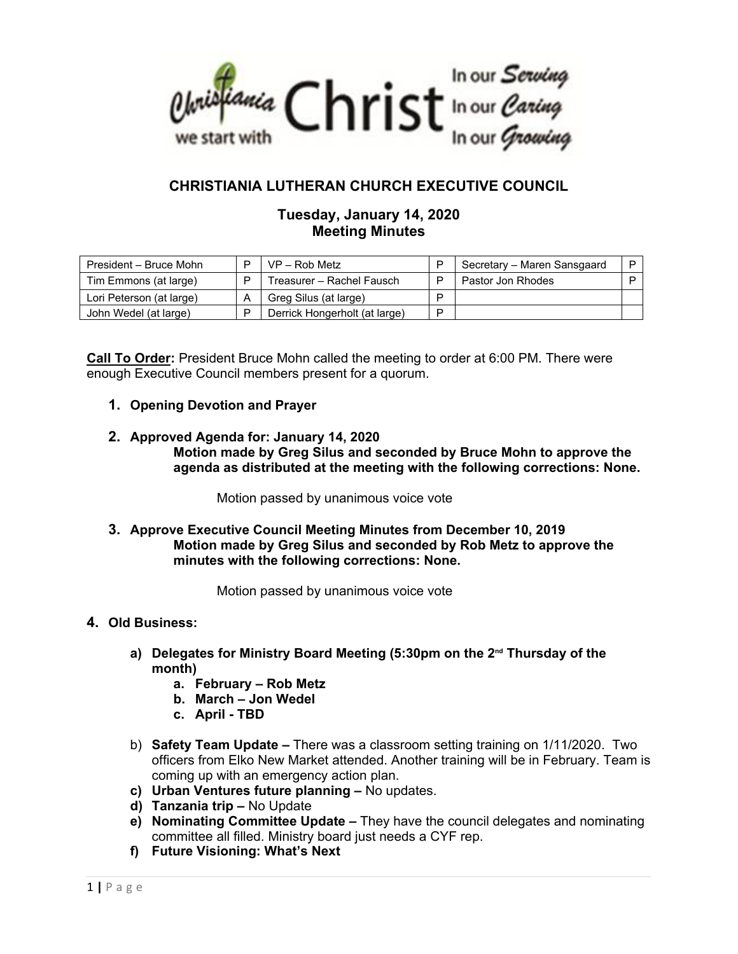

# **CHRISTIANIA LUTHERAN CHURCH EXECUTIVE COUNCIL**

## **Tuesday, January 14, 2020 Meeting Minutes**

| President – Bruce Mohn   | D | $VP - Rob$ Metz               |   | Secretary – Maren Sansgaard | D |
|--------------------------|---|-------------------------------|---|-----------------------------|---|
| Tim Emmons (at large)    | D | Treasurer – Rachel Fausch     |   | Pastor Jon Rhodes           | D |
| Lori Peterson (at large) |   | Greg Silus (at large)         |   |                             |   |
| John Wedel (at large)    | D | Derrick Hongerholt (at large) | D |                             |   |

**Call To Order:** President Bruce Mohn called the meeting to order at 6:00 PM. There were enough Executive Council members present for a quorum.

- **1. Opening Devotion and Prayer**
- **2. Approved Agenda for: January 14, 2020 Motion made by Greg Silus and seconded by Bruce Mohn to approve the agenda as distributed at the meeting with the following corrections: None.**

Motion passed by unanimous voice vote

**3. Approve Executive Council Meeting Minutes from December 10, 2019 Motion made by Greg Silus and seconded by Rob Metz to approve the minutes with the following corrections: None.**

Motion passed by unanimous voice vote

### **4. Old Business:**

- **a) Delegates for Ministry Board Meeting (5:30pm on the 2nd Thursday of the month)**
	- **a. February Rob Metz**
	- **b. March Jon Wedel**
	- **c. April TBD**
- b) **Safety Team Update** There was a classroom setting training on 1/11/2020. Two officers from Elko New Market attended. Another training will be in February. Team is coming up with an emergency action plan.
- **c) Urban Ventures future planning** No updates.
- **d) Tanzania trip** No Update
- **e) Nominating Committee Update –** They have the council delegates and nominating committee all filled. Ministry board just needs a CYF rep.
- **f) Future Visioning: What's Next**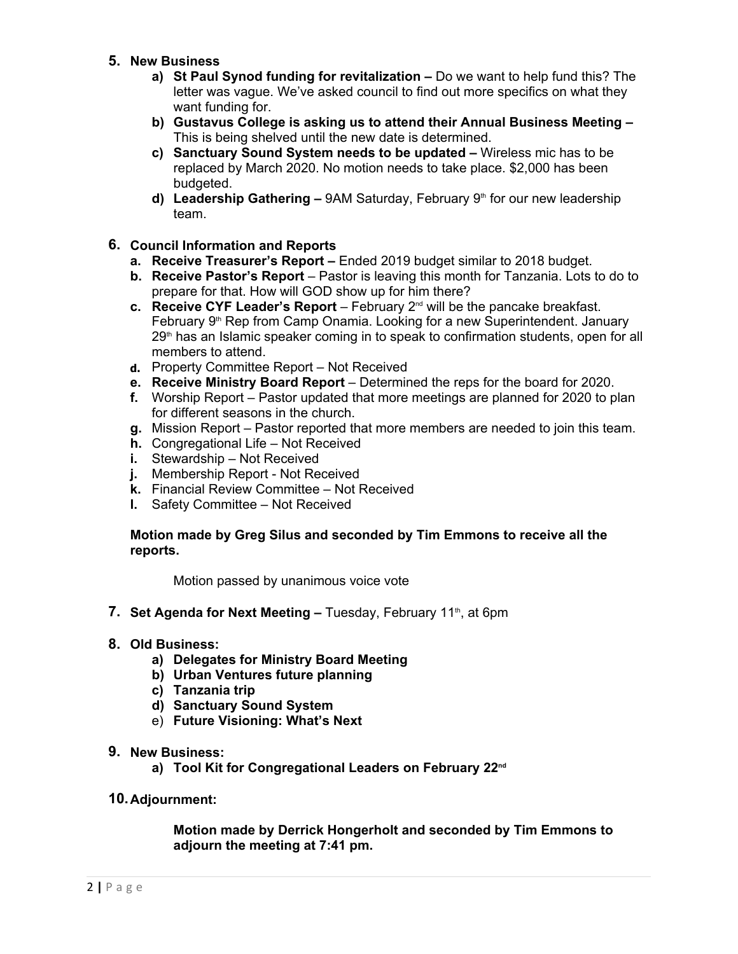- **5. New Business**
	- **a) St Paul Synod funding for revitalization** Do we want to help fund this? The letter was vague. We've asked council to find out more specifics on what they want funding for.
	- **b) Gustavus College is asking us to attend their Annual Business Meeting**  This is being shelved until the new date is determined.
	- **c) Sanctuary Sound System needs to be updated** Wireless mic has to be replaced by March 2020. No motion needs to take place. \$2,000 has been budgeted.
	- **d)** Leadership Gathering 9AM Saturday, February 9<sup>th</sup> for our new leadership team.

## **6. Council Information and Reports**

- **a. Receive Treasurer's Report** Ended 2019 budget similar to 2018 budget.
- **b. Receive Pastor's Report** Pastor is leaving this month for Tanzania. Lots to do to prepare for that. How will GOD show up for him there?
- **c. Receive CYF Leader's Report** February 2<sup>nd</sup> will be the pancake breakfast. February 9<sup>th</sup> Rep from Camp Onamia. Looking for a new Superintendent. January  $29<sup>th</sup>$  has an Islamic speaker coming in to speak to confirmation students, open for all members to attend.
- **d.** Property Committee Report Not Received
- **e. Receive Ministry Board Report** Determined the reps for the board for 2020.
- **f.** Worship Report Pastor updated that more meetings are planned for 2020 to plan for different seasons in the church.
- **g.** Mission Report Pastor reported that more members are needed to join this team.
- **h.** Congregational Life Not Received
- **i.** Stewardship Not Received
- **j.** Membership Report Not Received
- **k.** Financial Review Committee Not Received
- **l.** Safety Committee Not Received

#### **Motion made by Greg Silus and seconded by Tim Emmons to receive all the reports.**

Motion passed by unanimous voice vote

**7. Set Agenda for Next Meeting –** Tuesday, February 11<sup>th</sup>, at 6pm

### **8. Old Business:**

- **a) Delegates for Ministry Board Meeting**
- **b) Urban Ventures future planning**
- **c) Tanzania trip**
- **d) Sanctuary Sound System**
- e) **Future Visioning: What's Next**
- **9. New Business:** 
	- **a) Tool Kit for Congregational Leaders on February 22nd**
- **10.Adjournment:**

**Motion made by Derrick Hongerholt and seconded by Tim Emmons to adjourn the meeting at 7:41 pm.**